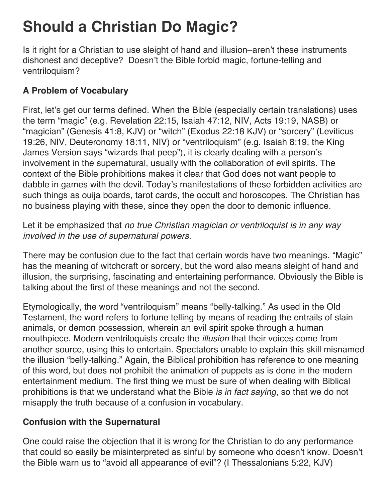# **Should a Christian Do Magic?**

Is it right for a Christian to use sleight of hand and illusion–aren't these instruments dishonest and deceptive? Doesn't the Bible forbid magic, fortune-telling and ventriloquism?

# **A Problem of Vocabulary**

First, let's get our terms defined. When the Bible (especially certain translations) uses the term "magic" (e.g. Revelation 22:15, Isaiah 47:12, NIV, Acts 19:19, NASB) or "magician" (Genesis 41:8, KJV) or "witch" (Exodus 22:18 KJV) or "sorcery" (Leviticus 19:26, NIV, Deuteronomy 18:11, NIV) or "ventriloquism" (e.g. Isaiah 8:19, the King James Version says "wizards that peep"), it is clearly dealing with a person's involvement in the supernatural, usually with the collaboration of evil spirits. The context of the Bible prohibitions makes it clear that God does not want people to dabble in games with the devil. Today's manifestations of these forbidden activities are such things as ouija boards, tarot cards, the occult and horoscopes. The Christian has no business playing with these, since they open the door to demonic influence.

Let it be emphasized that *no true Christian magician or ventriloquist is in any way involved in the use of supernatural powers.*

There may be confusion due to the fact that certain words have two meanings. "Magic" has the meaning of witchcraft or sorcery, but the word also means sleight of hand and illusion, the surprising, fascinating and entertaining performance. Obviously the Bible is talking about the first of these meanings and not the second.

Etymologically, the word "ventriloquism" means "belly-talking." As used in the Old Testament, the word refers to fortune telling by means of reading the entrails of slain animals, or demon possession, wherein an evil spirit spoke through a human mouthpiece. Modern ventriloquists create the *illusion* that their voices come from another source, using this to entertain. Spectators unable to explain this skill misnamed the illusion "belly-talking." Again, the Biblical prohibition has reference to one meaning of this word, but does not prohibit the animation of puppets as is done in the modern entertainment medium. The first thing we must be sure of when dealing with Biblical prohibitions is that we understand what the Bible *is in fact saying*, so that we do not misapply the truth because of a confusion in vocabulary.

## **Confusion with the Supernatural**

One could raise the objection that it is wrong for the Christian to do any performance that could so easily be misinterpreted as sinful by someone who doesn't know. Doesn't the Bible warn us to "avoid all appearance of evil"? (I Thessalonians 5:22, KJV)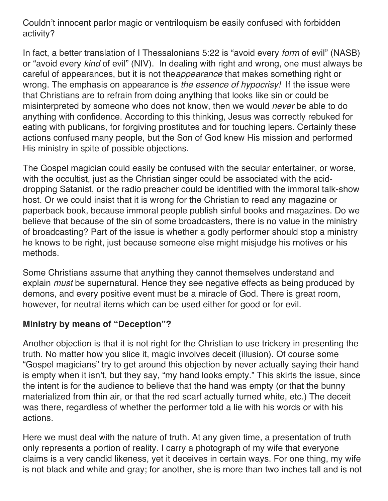Couldn't innocent parlor magic or ventriloquism be easily confused with forbidden activity?

In fact, a better translation of I Thessalonians 5:22 is "avoid every *form* of evil" (NASB) or "avoid every *kind* of evil" (NIV). In dealing with right and wrong, one must always be careful of appearances, but it is not the*appearance* that makes something right or wrong. The emphasis on appearance is *the essence of hypocrisy!* If the issue were that Christians are to refrain from doing anything that looks like sin or could be misinterpreted by someone who does not know, then we would *never* be able to do anything with confidence. According to this thinking, Jesus was correctly rebuked for eating with publicans, for forgiving prostitutes and for touching lepers. Certainly these actions confused many people, but the Son of God knew His mission and performed His ministry in spite of possible objections.

The Gospel magician could easily be confused with the secular entertainer, or worse, with the occultist, just as the Christian singer could be associated with the aciddropping Satanist, or the radio preacher could be identified with the immoral talk-show host. Or we could insist that it is wrong for the Christian to read any magazine or paperback book, because immoral people publish sinful books and magazines. Do we believe that because of the sin of some broadcasters, there is no value in the ministry of broadcasting? Part of the issue is whether a godly performer should stop a ministry he knows to be right, just because someone else might misjudge his motives or his methods.

Some Christians assume that anything they cannot themselves understand and explain *must* be supernatural. Hence they see negative effects as being produced by demons, and every positive event must be a miracle of God. There is great room, however, for neutral items which can be used either for good or for evil.

#### **Ministry by means of "Deception"?**

Another objection is that it is not right for the Christian to use trickery in presenting the truth. No matter how you slice it, magic involves deceit (illusion). Of course some "Gospel magicians" try to get around this objection by never actually saying their hand is empty when it isn't, but they say, "my hand looks empty." This skirts the issue, since the intent is for the audience to believe that the hand was empty (or that the bunny materialized from thin air, or that the red scarf actually turned white, etc.) The deceit was there, regardless of whether the performer told a lie with his words or with his actions.

Here we must deal with the nature of truth. At any given time, a presentation of truth only represents a portion of reality. I carry a photograph of my wife that everyone claims is a very candid likeness, yet it deceives in certain ways. For one thing, my wife is not black and white and gray; for another, she is more than two inches tall and is not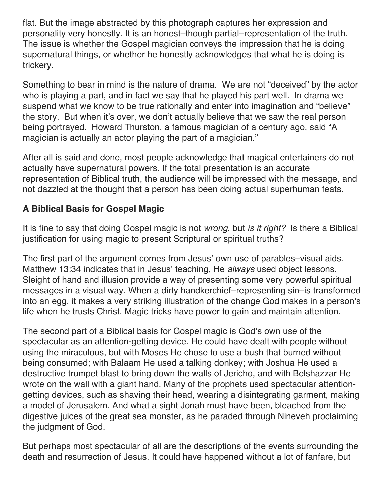flat. But the image abstracted by this photograph captures her expression and personality very honestly. It is an honest–though partial–representation of the truth. The issue is whether the Gospel magician conveys the impression that he is doing supernatural things, or whether he honestly acknowledges that what he is doing is trickery.

Something to bear in mind is the nature of drama. We are not "deceived" by the actor who is playing a part, and in fact we say that he played his part well. In drama we suspend what we know to be true rationally and enter into imagination and "believe" the story. But when it's over, we don't actually believe that we saw the real person being portrayed. Howard Thurston, a famous magician of a century ago, said "A magician is actually an actor playing the part of a magician."

After all is said and done, most people acknowledge that magical entertainers do not actually have supernatural powers. If the total presentation is an accurate representation of Biblical truth, the audience will be impressed with the message, and not dazzled at the thought that a person has been doing actual superhuman feats.

# **A Biblical Basis for Gospel Magic**

It is fine to say that doing Gospel magic is not *wrong*, but *is it right?* Is there a Biblical justification for using magic to present Scriptural or spiritual truths?

The first part of the argument comes from Jesus' own use of parables–visual aids. Matthew 13:34 indicates that in Jesus' teaching, He *always* used object lessons. Sleight of hand and illusion provide a way of presenting some very powerful spiritual messages in a visual way. When a dirty handkerchief–representing sin–is transformed into an egg, it makes a very striking illustration of the change God makes in a person's life when he trusts Christ. Magic tricks have power to gain and maintain attention.

The second part of a Biblical basis for Gospel magic is God's own use of the spectacular as an attention-getting device. He could have dealt with people without using the miraculous, but with Moses He chose to use a bush that burned without being consumed; with Balaam He used a talking donkey; with Joshua He used a destructive trumpet blast to bring down the walls of Jericho, and with Belshazzar He wrote on the wall with a giant hand. Many of the prophets used spectacular attentiongetting devices, such as shaving their head, wearing a disintegrating garment, making a model of Jerusalem. And what a sight Jonah must have been, bleached from the digestive juices of the great sea monster, as he paraded through Nineveh proclaiming the judgment of God.

But perhaps most spectacular of all are the descriptions of the events surrounding the death and resurrection of Jesus. It could have happened without a lot of fanfare, but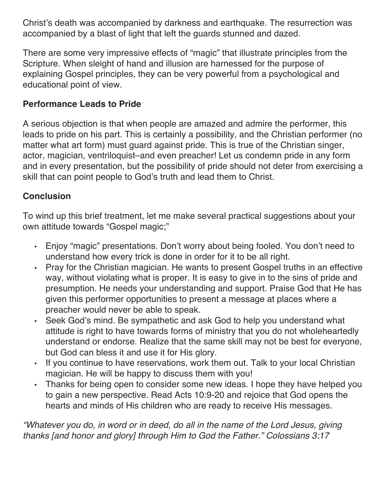Christ's death was accompanied by darkness and earthquake. The resurrection was accompanied by a blast of light that left the guards stunned and dazed.

There are some very impressive effects of "magic" that illustrate principles from the Scripture. When sleight of hand and illusion are harnessed for the purpose of explaining Gospel principles, they can be very powerful from a psychological and educational point of view.

### **Performance Leads to Pride**

A serious objection is that when people are amazed and admire the performer, this leads to pride on his part. This is certainly a possibility, and the Christian performer (no matter what art form) must guard against pride. This is true of the Christian singer, actor, magician, ventriloquist–and even preacher! Let us condemn pride in any form and in every presentation, but the possibility of pride should not deter from exercising a skill that can point people to God's truth and lead them to Christ.

## **Conclusion**

To wind up this brief treatment, let me make several practical suggestions about your own attitude towards "Gospel magic;"

- Enjoy "magic" presentations. Don't worry about being fooled. You don't need to understand how every trick is done in order for it to be all right.
- Pray for the Christian magician. He wants to present Gospel truths in an effective way, without violating what is proper. It is easy to give in to the sins of pride and presumption. He needs your understanding and support. Praise God that He has given this performer opportunities to present a message at places where a preacher would never be able to speak.
- Seek God's mind. Be sympathetic and ask God to help you understand what attitude is right to have towards forms of ministry that you do not wholeheartedly understand or endorse. Realize that the same skill may not be best for everyone, but God can bless it and use it for His glory.
- If you continue to have reservations, work them out. Talk to your local Christian magician. He will be happy to discuss them with you!
- Thanks for being open to consider some new ideas. I hope they have helped you to gain a new perspective. Read Acts 10:9-20 and rejoice that God opens the hearts and minds of His children who are ready to receive His messages.

*"Whatever you do, in word or in deed, do all in the name of the Lord Jesus, giving thanks [and honor and glory] through Him to God the Father." Colossians 3:17*